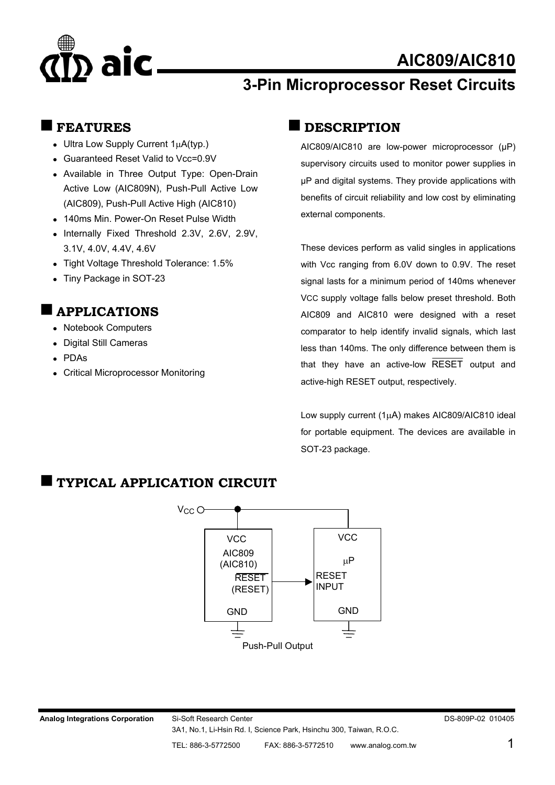# aic

## **AIC809/AIC810**

## **3-Pin Microprocessor Reset Circuits**

### **FEATURES**

- Ultra Low Supply Current  $1\mu A(typ.)$
- Guaranteed Reset Valid to Vcc=0.9V
- Available in Three Output Type: Open-Drain Active Low (AIC809N), Push-Pull Active Low (AIC809), Push-Pull Active High (AIC810)
- 140ms Min. Power-On Reset Pulse Width
- Internally Fixed Threshold 2.3V, 2.6V, 2.9V, 3.1V, 4.0V, 4.4V, 4.6V
- Tight Voltage Threshold Tolerance: 1.5%
- Tiny Package in SOT-23

## **APPLICATIONS**

- Notebook Computers
- Digital Still Cameras
- PDAs
- Critical Microprocessor Monitoring

## **DESCRIPTION**

AIC809/AIC810 are low-power microprocessor (µP) supervisory circuits used to monitor power supplies in µP and digital systems. They provide applications with benefits of circuit reliability and low cost by eliminating external components.

These devices perform as valid singles in applications with Vcc ranging from 6.0V down to 0.9V. The reset signal lasts for a minimum period of 140ms whenever VCC supply voltage falls below preset threshold. Both AIC809 and AIC810 were designed with a reset comparator to help identify invalid signals, which last less than 140ms. The only difference between them is that they have an active-low RESET output and active-high RESET output, respectively.

Low supply current (1µA) makes AIC809/AIC810 ideal for portable equipment. The devices are available in SOT-23 package.

## **TYPICAL APPLICATION CIRCUIT**

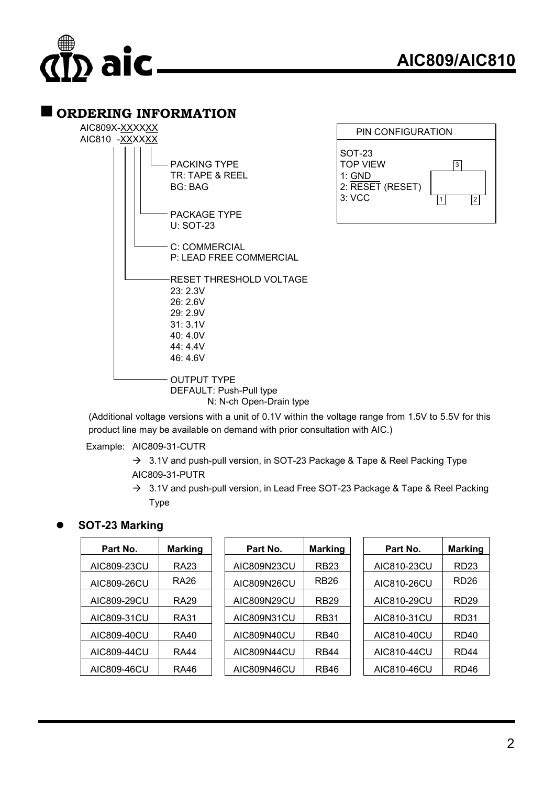

#### **ORDERING INFORMATION**



(Additional voltage versions with a unit of 0.1V within the voltage range from 1.5V to 5.5V for this product line may be available on demand with prior consultation with AIC.)

Example: AIC809-31-CUTR

- $\rightarrow$  3.1V and push-pull version, in SOT-23 Package & Tape & Reel Packing Type AIC809-31-PUTR
- $\rightarrow$  3.1V and push-pull version, in Lead Free SOT-23 Package & Tape & Reel Packing Type

#### z **SOT-23 Marking**

| Part No.    | <b>Marking</b>   | Part No.    | <b>Marking</b> | Part No.    | <b>Marking</b>   |
|-------------|------------------|-------------|----------------|-------------|------------------|
| AIC809-23CU | RA <sub>23</sub> | AIC809N23CU | <b>RB23</b>    | AIC810-23CU | <b>RD23</b>      |
| AIC809-26CU | RA26             | AIC809N26CU | <b>RB26</b>    | AIC810-26CU | RD <sub>26</sub> |
| AIC809-29CU | RA <sub>29</sub> | AIC809N29CU | <b>RB29</b>    | AIC810-29CU | RD <sub>29</sub> |
| AIC809-31CU | RA31             | AIC809N31CU | <b>RB31</b>    | AIC810-31CU | RD31             |
| AIC809-40CU | RA40             | AIC809N40CU | <b>RB40</b>    | AIC810-40CU | RD40             |
| AIC809-44CU | <b>RA44</b>      | AIC809N44CU | <b>RB44</b>    | AIC810-44CU | RD <sub>44</sub> |
| AIC809-46CU | RA46             | AIC809N46CU | <b>RB46</b>    | AIC810-46CU | RD <sub>46</sub> |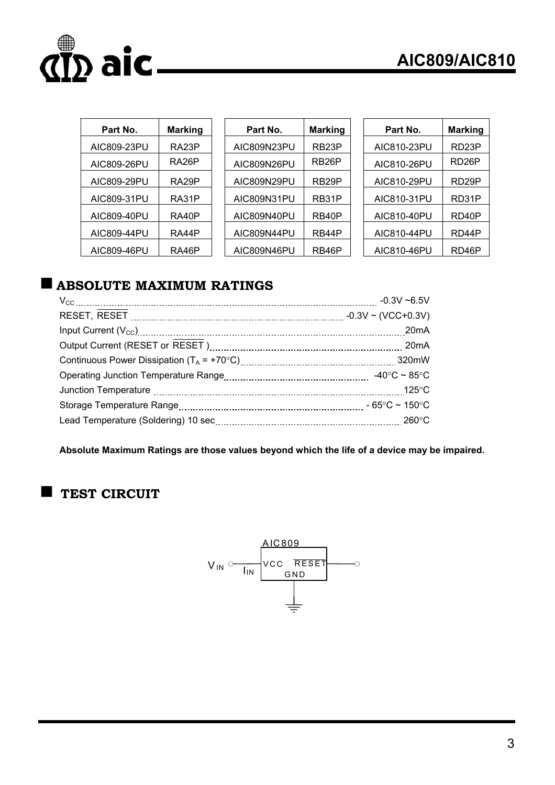

| Part No.    | <b>Marking</b>     | Part No.    | <b>Marking</b>     | Part No.    | <b>Marking</b>     |
|-------------|--------------------|-------------|--------------------|-------------|--------------------|
| AIC809-23PU | RA <sub>23</sub> P | AIC809N23PU | RB <sub>23</sub> P | AIC810-23PU | RD <sub>23</sub> P |
| AIC809-26PU | RA <sub>26</sub> P | AIC809N26PU | RB <sub>26</sub> P | AIC810-26PU | RD <sub>26</sub> P |
| AIC809-29PU | RA <sub>29</sub> P | AIC809N29PU | RB <sub>29</sub> P | AIC810-29PU | RD <sub>29</sub> P |
| AIC809-31PU | RA31P              | AIC809N31PU | RB31P              | AIC810-31PU | RD31P              |
| AIC809-40PU | RA40P              | AIC809N40PU | RB40P              | AIC810-40PU | RD <sub>40</sub> P |
| AIC809-44PU | RA44P              | AIC809N44PU | RB44P              | AIC810-44PU | RD44P              |
| AIC809-46PU | RA46P              | AIC809N46PU | RB46P              | AIC810-46PU | RD46P              |

## **ABSOLUTE MAXIMUM RATINGS**

| $-0.3V - 6.5V$          |
|-------------------------|
| $-0.3V \sim (VCC+0.3V)$ |
| 20 <sub>m</sub> A       |
|                         |
| 320mW                   |
| -40°C ~ 85°C            |
| $125^{\circ}$ C         |
|                         |
|                         |
|                         |

**Absolute Maximum Ratings are those values beyond which the life of a device may be impaired.**

## **TEST CIRCUIT**

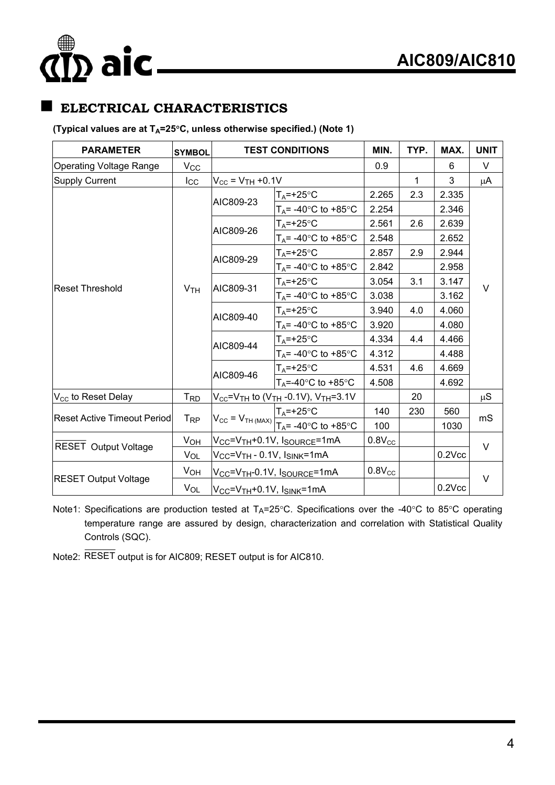# $\overline{p}$  aic

## **ELECTRICAL CHARACTERISTICS**

#### (Typical values are at T<sub>A</sub>=25°C, unless otherwise specified.) (Note 1)

| <b>PARAMETER</b>                   | <b>SYMBOL</b>         | <b>TEST CONDITIONS</b>                                           |                                                                                                                                      | MIN.        | TYP.      | MAX.      | <b>UNIT</b> |
|------------------------------------|-----------------------|------------------------------------------------------------------|--------------------------------------------------------------------------------------------------------------------------------------|-------------|-----------|-----------|-------------|
| <b>Operating Voltage Range</b>     | $V_{\rm CC}$          |                                                                  |                                                                                                                                      | 0.9         |           | 6         | V           |
| <b>Supply Current</b>              | $I_{\rm CC}$          | $V_{CC}$ = $V_{TH}$ +0.1V                                        |                                                                                                                                      |             | 1         | 3         | μA          |
|                                    |                       | AIC809-23                                                        | $T_A = +25$ °C                                                                                                                       | 2.265       | 2.3       | 2.335     | V           |
|                                    | V <sub>TH</sub>       |                                                                  | $T_A$ = -40 $\degree$ C to +85 $\degree$ C                                                                                           | 2.254       |           | 2.346     |             |
|                                    |                       | AIC809-26                                                        | $T_A = +25$ °C                                                                                                                       | 2.561       | 2.6       | 2.639     |             |
|                                    |                       |                                                                  | $T_A$ = -40 $\degree$ C to +85 $\degree$ C                                                                                           | 2.548       |           | 2.652     |             |
|                                    |                       | AIC809-29                                                        | $T_A = +25$ °C                                                                                                                       | 2.857       | 2.9       | 2.944     |             |
|                                    |                       |                                                                  | $T_A$ = -40 $\degree$ C to +85 $\degree$ C                                                                                           | 2.842       |           | 2.958     |             |
| <b>Reset Threshold</b>             |                       | AIC809-31                                                        | $T_A = +25$ °C                                                                                                                       | 3.054       | 3.1       | 3.147     |             |
|                                    |                       |                                                                  | $T_A$ = -40 $\degree$ C to +85 $\degree$ C                                                                                           | 3.038       |           | 3.162     |             |
|                                    |                       | AIC809-40                                                        | $T_A = +25$ °C                                                                                                                       | 3.940       | 4.0       | 4.060     |             |
|                                    |                       |                                                                  | $T_A$ = -40 $\degree$ C to +85 $\degree$ C                                                                                           | 3.920       |           | 4.080     |             |
|                                    |                       | AIC809-44                                                        | $T_A = +25$ °C                                                                                                                       | 4.334       | 4.4       | 4.466     |             |
|                                    |                       |                                                                  | $T_A$ = -40 $\degree$ C to +85 $\degree$ C                                                                                           | 4.312       |           | 4.488     |             |
|                                    |                       | AIC809-46                                                        | $T_A = +25$ °C                                                                                                                       | 4.531       | 4.6       | 4.669     |             |
|                                    |                       |                                                                  | $T_A = -40$ °C to +85°C                                                                                                              | 4.508       |           | 4.692     |             |
| V <sub>CC</sub> to Reset Delay     | <b>TRD</b>            | $V_{CC}$ = $V_{TH}$ to ( $V_{TH}$ -0.1V), $V_{TH}$ =3.1V         |                                                                                                                                      |             | 20        |           | $\mu S$     |
| <b>Reset Active Timeout Period</b> |                       |                                                                  |                                                                                                                                      | 140         | 230       | 560       |             |
|                                    | T <sub>RP</sub>       |                                                                  | $V_{\text{CC}} = V_{\text{TH (MAX)}} \frac{T_A = +25^{\circ} \text{C}}{T_A = -40^{\circ} \text{C} \text{ to } +85^{\circ} \text{C}}$ | 100         |           | 1030      | mS          |
| RESET Output Voltage               | VOH                   | V <sub>CC</sub> =V <sub>TH</sub> +0.1V, I <sub>SOURCE</sub> =1mA |                                                                                                                                      | $0.8V_{CC}$ |           |           | $\vee$      |
|                                    | <b>V<sub>OL</sub></b> | V <sub>CC</sub> =V <sub>TH</sub> - 0.1V, I <sub>SINK</sub> =1mA  |                                                                                                                                      |             |           | $0.2$ Vcc |             |
| <b>RESET Output Voltage</b>        | V <sub>OH</sub>       | V <sub>CC</sub> =V <sub>TH</sub> -0.1V, I <sub>SOURCE</sub> =1mA |                                                                                                                                      | $0.8V_{CC}$ |           |           | $\vee$      |
|                                    | V <sub>OL</sub>       | V <sub>CC</sub> =V <sub>TH</sub> +0.1V, I <sub>SINK</sub> =1mA   |                                                                                                                                      |             | $0.2$ Vcc |           |             |

Note1: Specifications are production tested at  $T_A=25^{\circ}$ C. Specifications over the -40 $^{\circ}$ C to 85 $^{\circ}$ C operating temperature range are assured by design, characterization and correlation with Statistical Quality Controls (SQC).

Note2: RESET output is for AIC809; RESET output is for AIC810.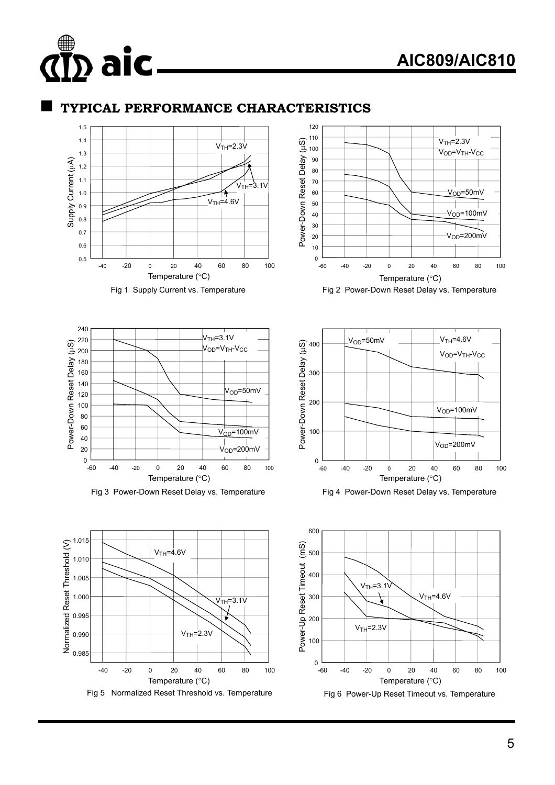## **AIC809/AIC810**

#### **TYPICAL PERFORMANCE CHARACTERISTICS**



aic.



Fig 2 Power-Down Reset Delay vs. Temperature



Fig 3 Power-Down Reset Delay vs. Temperature





Fig 4 Power-Down Reset Delay vs. Temperature

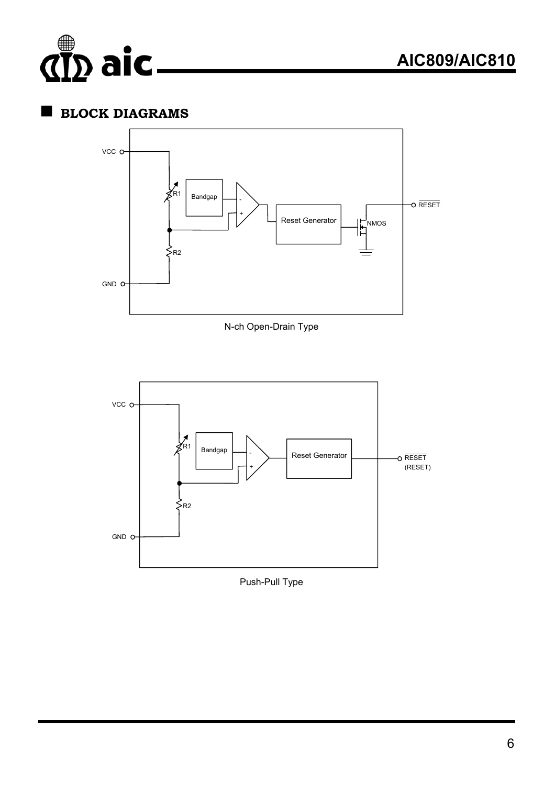

## **BLOCK DIAGRAMS**



N-ch Open-Drain Type



Push-Pull Type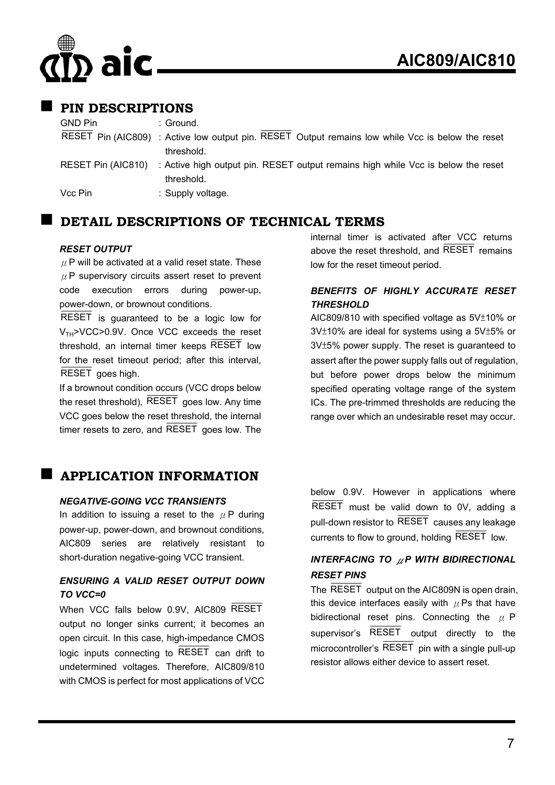# aic

### **PIN DESCRIPTIONS**

GND Pin : Ground.

- RESET Pin (AIC809) : Active low output pin. RESET Output remains low while Vcc is below the reset threshold. RESET Pin (AIC810) : Active high output pin. RESET output remains high while Vcc is below the reset
- threshold.

Vcc Pin : Supply voltage.

### **DETAIL DESCRIPTIONS OF TECHNICAL TERMS**

#### *RESET OUTPUT*

 $\mu$  P will be activated at a valid reset state. These  $\mu$  P supervisory circuits assert reset to prevent code execution errors during power-up, power-down, or brownout conditions.

RESET is guaranteed to be a logic low for  $V<sub>TH</sub> > VCC > 0.9V$ . Once VCC exceeds the reset threshold, an internal timer keeps RESET low for the reset timeout period; after this interval, RESET goes high.

If a brownout condition occurs (VCC drops below the reset threshold), RESET goes low. Any time VCC goes below the reset threshold, the internal timer resets to zero, and RESET goes low. The

## **APPLICATION INFORMATION**

#### *NEGATIVE-GOING VCC TRANSIENTS*

In addition to issuing a reset to the  $\mu$  P during power-up, power-down, and brownout conditions, AIC809 series are relatively resistant to short-duration negative-going VCC transient.

#### *ENSURING A VALID RESET OUTPUT DOWN TO VCC=0*

When VCC falls below 0.9V, AIC809 RESET output no longer sinks current; it becomes an open circuit. In this case, high-impedance CMOS logic inputs connecting to RESET can drift to undetermined voltages. Therefore, AIC809/810 with CMOS is perfect for most applications of VCC

internal timer is activated after VCC returns above the reset threshold, and RESET remains low for the reset timeout period.

#### *BENEFITS OF HIGHLY ACCURATE RESET THRESHOLD*

AIC809/810 with specified voltage as 5V±10% or 3V±10% are ideal for systems using a 5V±5% or 3V±5% power supply. The reset is guaranteed to assert after the power supply falls out of regulation, but before power drops below the minimum specified operating voltage range of the system ICs. The pre-trimmed thresholds are reducing the range over which an undesirable reset may occur.

below 0.9V. However in applications where RESET must be valid down to 0V, adding a pull-down resistor to RESET causes any leakage currents to flow to ground, holding RESET low.

#### *INTERFACING TO* μ*P WITH BIDIRECTIONAL RESET PINS*

The RESET output on the AIC809N is open drain, this device interfaces easily with  $\mu$  Ps that have bidirectional reset pins. Connecting the  $\mu$  P supervisor's RESET output directly to the microcontroller's  $\overline{\text{RESET}}$  pin with a single pull-up resistor allows either device to assert reset.